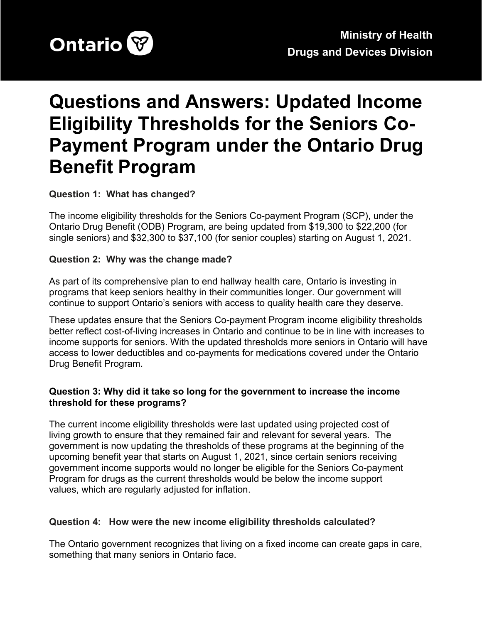

# **Questions and Answers: Updated Income Eligibility Thresholds for the Seniors Co-Payment Program under the Ontario Drug Benefit Program**

#### **Question 1: What has changed?**

The income eligibility thresholds for the Seniors Co-payment Program (SCP), under the Ontario Drug Benefit (ODB) Program, are being updated from \$19,300 to \$22,200 (for single seniors) and \$32,300 to \$37,100 (for senior couples) starting on August 1, 2021.

#### **Question 2: Why was the change made?**

As part of its comprehensive plan to end hallway health care, Ontario is investing in programs that keep seniors healthy in their communities longer. Our government will continue to support Ontario's seniors with access to quality health care they deserve.

These updates ensure that the Seniors Co-payment Program income eligibility thresholds better reflect cost-of-living increases in Ontario and continue to be in line with increases to income supports for seniors. With the updated thresholds more seniors in Ontario will have access to lower deductibles and co-payments for medications covered under the Ontario Drug Benefit Program.

#### **Question 3: Why did it take so long for the government to increase the income threshold for these programs?**

The current income eligibility thresholds were last updated using projected cost of living growth to ensure that they remained fair and relevant for several years. The government is now updating the thresholds of these programs at the beginning of the upcoming benefit year that starts on August 1, 2021, since certain seniors receiving government income supports would no longer be eligible for the Seniors Co-payment Program for drugs as the current thresholds would be below the income support values, which are regularly adjusted for inflation.

#### **Question 4: How were the new income eligibility thresholds calculated?**

The Ontario government recognizes that living on a fixed income can create gaps in care, something that many seniors in Ontario face.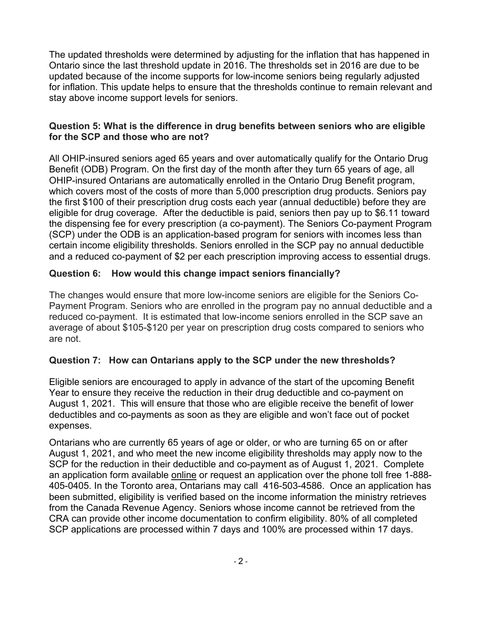The updated thresholds were determined by adjusting for the inflation that has happened in Ontario since the last threshold update in 2016. The thresholds set in 2016 are due to be updated because of the income supports for low-income seniors being regularly adjusted for inflation. This update helps to ensure that the thresholds continue to remain relevant and stay above income support levels for seniors.

#### **Question 5: What is the difference in drug benefits between seniors who are eligible for the SCP and those who are not?**

All OHIP-insured seniors aged 65 years and over automatically qualify for the Ontario Drug Benefit (ODB) Program. On the first day of the month after they turn 65 years of age, all OHIP-insured Ontarians are automatically enrolled in the Ontario Drug Benefit program, which covers most of the costs of more than 5,000 prescription drug products. Seniors pay the first \$100 of their prescription drug costs each year (annual deductible) before they are eligible for drug coverage. After the deductible is paid, seniors then pay up to \$6.11 toward the dispensing fee for every prescription (a co-payment). The Seniors Co-payment Program (SCP) under the ODB is an application-based program for seniors with incomes less than certain income eligibility thresholds. Seniors enrolled in the SCP pay no annual deductible and a reduced co-payment of \$2 per each prescription improving access to essential drugs.

## **Question 6: How would this change impact seniors financially?**

The changes would ensure that more low-income seniors are eligible for the Seniors Co-Payment Program. Seniors who are enrolled in the program pay no annual deductible and a reduced co-payment. It is estimated that low-income seniors enrolled in the SCP save an average of about \$105-\$120 per year on prescription drug costs compared to seniors who are not.

# **Question 7: How can Ontarians apply to the SCP under the new thresholds?**

Eligible seniors are encouraged to apply in advance of the start of the upcoming Benefit Year to ensure they receive the reduction in their drug deductible and co-payment on August 1, 2021. This will ensure that those who are eligible receive the benefit of lower deductibles and co-payments as soon as they are eligible and won't face out of pocket expenses.

Ontarians who are currently 65 years of age or older, or who are turning 65 on or after August 1, 2021, and who meet the new income eligibility thresholds may apply now to the SCP for the reduction in their deductible and co-payment as of August 1, 2021. Complete an application form available [online](http://www.forms.ssb.gov.on.ca/mbs/ssb/forms/ssbforms.nsf/FormDetail?openform&ENV=WWE&NO=014-3233-87) or request an application over the phone toll free [1-888-](tel:+18884050405) [405-0405.](tel:+18884050405) In the Toronto area, Ontarians may call [416-503-4586](tel:+14165034586). Once an application has been submitted, eligibility is verified based on the income information the ministry retrieves from the Canada Revenue Agency. Seniors whose income cannot be retrieved from the CRA can provide other income documentation to confirm eligibility. 80% of all completed SCP applications are processed within 7 days and 100% are processed within 17 days.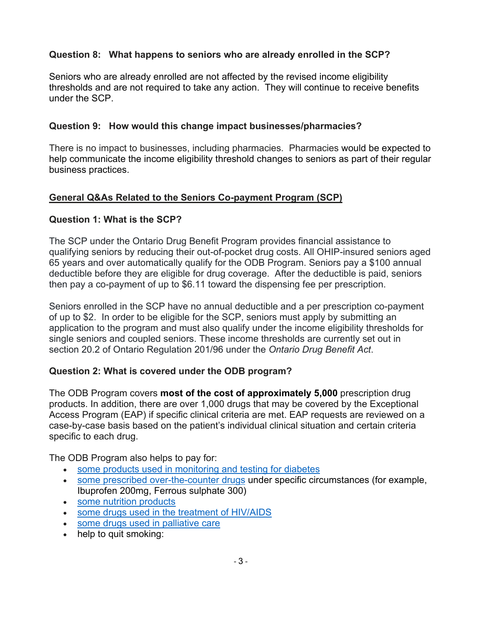# **Question 8: What happens to seniors who are already enrolled in the SCP?**

Seniors who are already enrolled are not affected by the revised income eligibility thresholds and are not required to take any action. They will continue to receive benefits under the SCP.

#### **Question 9: How would this change impact businesses/pharmacies?**

There is no impact to businesses, including pharmacies. Pharmacies would be expected to help communicate the income eligibility threshold changes to seniors as part of their regular business practices.

## **General Q&As Related to the Seniors Co-payment Program (SCP)**

#### **Question 1: What is the SCP?**

The SCP under the Ontario Drug Benefit Program provides financial assistance to qualifying seniors by reducing their out-of-pocket drug costs. All OHIP-insured seniors aged 65 years and over automatically qualify for the ODB Program. Seniors pay a \$100 annual deductible before they are eligible for drug coverage. After the deductible is paid, seniors then pay a co-payment of up to \$6.11 toward the dispensing fee per prescription.

Seniors enrolled in the SCP have no annual deductible and a per prescription co-payment of up to \$2. In order to be eligible for the SCP, seniors must apply by submitting an application to the program and must also qualify under the income eligibility thresholds for single seniors and coupled seniors. These income thresholds are currently set out in section 20.2 of Ontario Regulation 201/96 under the *Ontario Drug Benefit Act*.

## **Question 2: What is covered under the ODB program?**

The ODB Program covers **most of the cost of approximately 5,000** prescription drug products. In addition, there are over 1,000 drugs that may be covered by the Exceptional Access Program (EAP) if specific clinical criteria are met. EAP requests are reviewed on a case-by-case basis based on the patient's individual clinical situation and certain criteria specific to each drug.

The ODB Program also helps to pay for:

- some products used in [monitoring](https://www.ontario.ca/#diabetes) and testing for diabetes
- some prescribed [over-the-counter](https://www.ontario.ca/#overthecounter) drugs under specific circumstances (for example, Ibuprofen 200mg, Ferrous sulphate 300)
- some nutrition [products](https://www.ontario.ca/#nutrition)
- some drugs used in the treatment of [HIV/AIDS](https://www.ontario.ca/#HIV)
- some drugs used in [palliative](https://www.ontario.ca/#palliative) care
- help to quit smoking: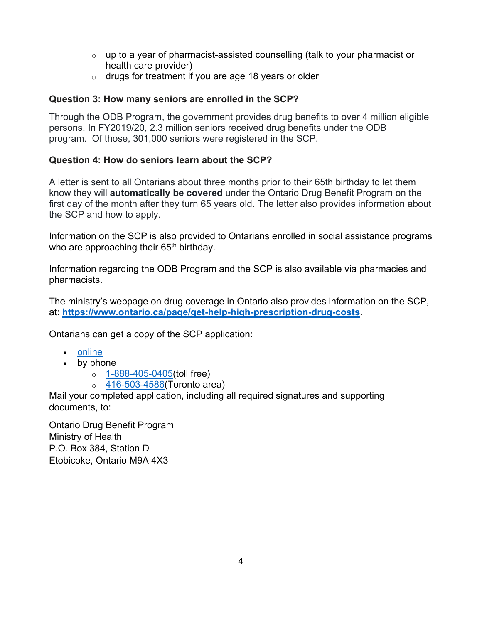- $\circ$  up to a year of pharmacist-assisted counselling (talk to your pharmacist or health care provider)
- $\circ$  drugs for treatment if you are age 18 years or older

## **Question 3: How many seniors are enrolled in the SCP?**

Through the ODB Program, the government provides drug benefits to over 4 million eligible persons. In FY2019/20, 2.3 million seniors received drug benefits under the ODB program. Of those, 301,000 seniors were registered in the SCP.

## **Question 4: How do seniors learn about the SCP?**

A letter is sent to all Ontarians about three months prior to their 65th birthday to let them know they will **automatically be covered** under the Ontario Drug Benefit Program on the first day of the month after they turn 65 years old. The letter also provides information about the SCP and how to apply.

Information on the SCP is also provided to Ontarians enrolled in social assistance programs who are approaching their  $65<sup>th</sup>$  birthday.

Information regarding the ODB Program and the SCP is also available via pharmacies and pharmacists.

The ministry's webpage on drug coverage in Ontario also provides information on the SCP, at: **<https://www.ontario.ca/page/get-help-high-prescription-drug-costs>**.

Ontarians can get a copy of the SCP application:

- [online](http://www.forms.ssb.gov.on.ca/mbs/ssb/forms/ssbforms.nsf/FormDetail?openform&ENV=WWE&NO=014-3233-87)
- by phone
	- o [1-888-405-0405\(](tel:+18884050405)toll free)
	- $\circ$  [416-503-4586](tel:+14165034586)(Toronto area)

Mail your completed application, including all required signatures and supporting documents, to:

Ontario Drug Benefit Program Ministry of Health P.O. Box 384, Station D Etobicoke, Ontario M9A 4X3